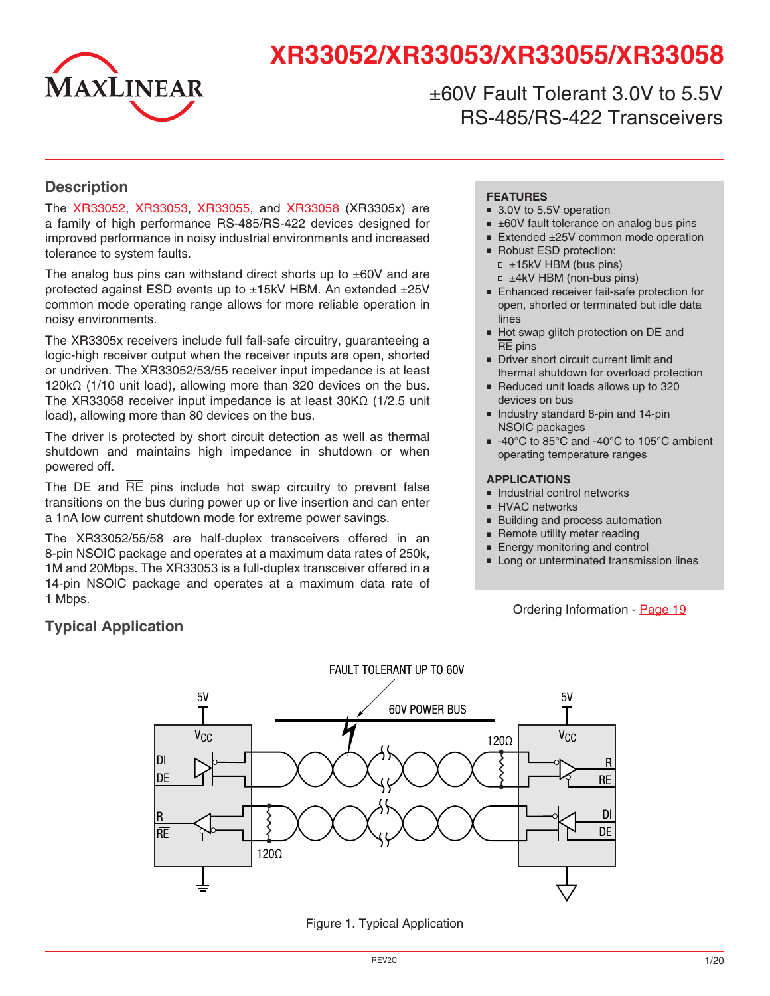

# **XR33052/XR33053/XR33055/XR33058**

±60V Fault Tolerant 3.0V to 5.5V RS-485/RS-422 Transceivers

#### **Description**

The [XR33052,](http://www.exar.com/XR33052) [XR33053](http://www.exar.com/XR33053), [XR3305](http://www.exar.com/XR33055)5, and [XR3305](http://www.exar.com/XR33058)8 (XR3305x) are a family of high performance RS-485/RS-422 devices designed for improved performance in noisy industrial environments and increased tolerance to system faults.

The analog bus pins can withstand direct shorts up to  $\pm 60V$  and are protected against ESD events up to ±15kV HBM. An extended ±25V common mode operating range allows for more reliable operation in noisy environments.

The XR3305x receivers include full fail-safe circuitry, guaranteeing a logic-high receiver output when the receiver inputs are open, shorted or undriven. The XR33052/53/55 receiver input impedance is at least 120kΩ (1/10 unit load), allowing more than 320 devices on the bus. The XR33058 receiver input impedance is at least 30KΩ (1/2.5 unit load), allowing more than 80 devices on the bus.

The driver is protected by short circuit detection as well as thermal shutdown and maintains high impedance in shutdown or when powered off.

The DE and  $\overline{RE}$  pins include hot swap circuitry to prevent false transitions on the bus during power up or live insertion and can enter a 1nA low current shutdown mode for extreme power savings.

The XR33052/55/58 are half-duplex transceivers offered in an 8-pin NSOIC package and operates at a maximum data rates of 250k, 1M and 20Mbps. The XR33053 is a full-duplex transceiver offered in a 14-pin NSOIC package and operates at a maximum data rate of 1 Mbps.

#### **FEATURES**

- 3.0V to 5.5V operation
- $\equiv$   $\pm$ 60V fault tolerance on analog bus pins
- Extended ±25V common mode operation
- Robust ESD protection:  $= \pm 15kV$  HBM (bus pins) □ ±4kV HBM (non-bus pins)
- Enhanced receiver fail-safe protection for open, shorted or terminated but idle data lines
- Hot swap glitch protection on DE and RE pins
- Driver short circuit current limit and thermal shutdown for overload protection
- Reduced unit loads allows up to 320 devices on bus
- Industry standard 8-pin and 14-pin NSOIC packages
- -40°C to 85°C and -40°C to 105°C ambient operating temperature ranges

#### **APPLICATIONS**

- Industrial control networks
- HVAC networks
- Building and process automation
- Remote utility meter reading
- Energy monitoring and control
- Long or unterminated transmission lines

#### Ordering Information - [Page](#page-18-0) 19



Figure 1. Typical Application

## **Typical Application**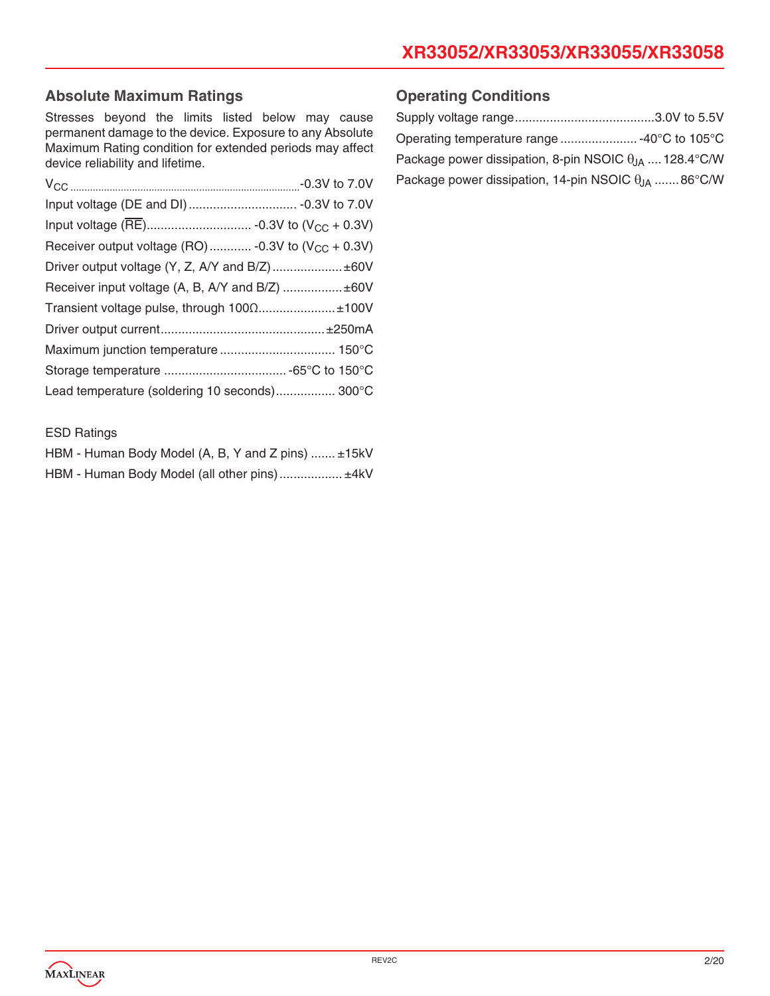## **Absolute Maximum Ratings**

Stresses beyond the limits listed below may cause permanent damage to the device. Exposure to any Absolute Maximum Rating condition for extended periods may affect device reliability and lifetime.

| Receiver output voltage (RO)  -0.3V to $(V_{CC} + 0.3V)$ |  |
|----------------------------------------------------------|--|
| Driver output voltage (Y, Z, A/Y and B/Z)  ±60V          |  |
| Receiver input voltage (A, B, A/Y and B/Z)  ±60V         |  |
| Transient voltage pulse, through 100Ω±100V               |  |
|                                                          |  |
|                                                          |  |
|                                                          |  |
| Lead temperature (soldering 10 seconds) 300°C            |  |

#### **Operating Conditions**

| Package power dissipation, 8-pin NSOIC $\theta_{IA}$ 128.4°C/W |  |
|----------------------------------------------------------------|--|
| Package power dissipation, 14-pin NSOIC $\theta_{1A}$ 86°C/W   |  |

#### ESD Ratings

| HBM - Human Body Model (A, B, Y and Z pins)  ±15kV |  |
|----------------------------------------------------|--|
| HBM - Human Body Model (all other pins) ±4kV       |  |

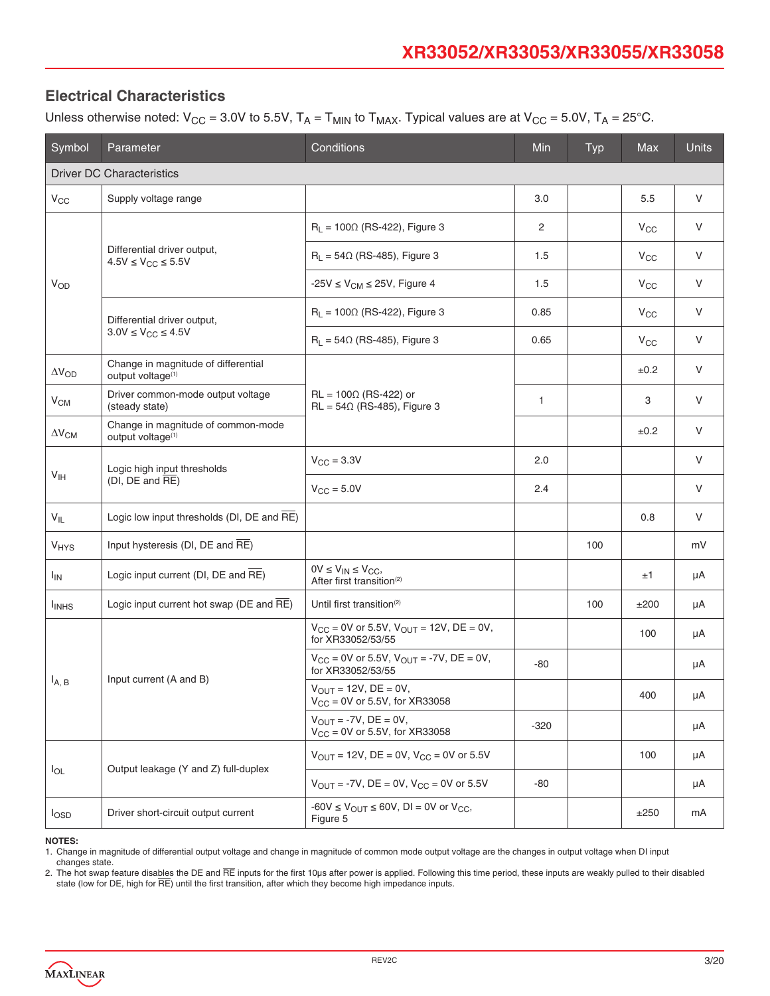## **Electrical Characteristics**

Unless otherwise noted:  $V_{CC} = 3.0V$  to 5.5V,  $T_A = T_{MIN}$  to  $T_{MAX}$ . Typical values are at  $V_{CC} = 5.0V$ ,  $T_A = 25^{\circ}$ C.

| Symbol                   | Parameter                                                            | Conditions                                                                   | Min    | <b>Typ</b> | <b>Max</b>   | <b>Units</b> |  |  |
|--------------------------|----------------------------------------------------------------------|------------------------------------------------------------------------------|--------|------------|--------------|--------------|--|--|
|                          | <b>Driver DC Characteristics</b>                                     |                                                                              |        |            |              |              |  |  |
| $V_{CC}$                 | Supply voltage range                                                 |                                                                              | 3.0    |            | 5.5          | $\vee$       |  |  |
|                          |                                                                      | $R_L$ = 100 $\Omega$ (RS-422), Figure 3                                      | 2      |            | $V_{\rm CC}$ | V            |  |  |
|                          | Differential driver output,<br>$4.5V \leq V_{CC} \leq 5.5V$          | $R_1 = 54\Omega$ (RS-485), Figure 3                                          | 1.5    |            | $V_{CC}$     | V            |  |  |
| $V_{OD}$                 |                                                                      | -25V $\leq$ V <sub>CM</sub> $\leq$ 25V, Figure 4                             | 1.5    |            | $V_{CC}$     | V            |  |  |
|                          | Differential driver output,                                          | $R_L$ = 100 $\Omega$ (RS-422), Figure 3                                      | 0.85   |            | $V_{CC}$     | V            |  |  |
|                          | $3.0V \leq V_{CC} \leq 4.5V$                                         | $R_L = 54\Omega$ (RS-485), Figure 3                                          | 0.65   |            | $V_{\rm CC}$ | $\vee$       |  |  |
| $\Delta V_{OD}$          | Change in magnitude of differential<br>output voltage <sup>(1)</sup> |                                                                              |        |            | ±0.2         | $\vee$       |  |  |
| $V_{CM}$                 | Driver common-mode output voltage<br>(steady state)                  | $RL = 100\Omega$ (RS-422) or<br>$RL = 54\Omega$ (RS-485), Figure 3           | 1      |            | 3            | $\vee$       |  |  |
| $\Delta V_{\text{CM}}$   | Change in magnitude of common-mode<br>output voltage <sup>(1)</sup>  |                                                                              |        |            | ±0.2         | $\vee$       |  |  |
| V <sub>IH</sub>          | Logic high input thresholds                                          | $V_{\rm CC} = 3.3V$                                                          | 2.0    |            |              | $\vee$       |  |  |
|                          | $(DI, DE and \overline{RE})$                                         | $V_{\text{CC}} = 5.0V$                                                       |        |            |              | V            |  |  |
| $V_{IL}$                 | Logic low input thresholds (DI, DE and RE)                           |                                                                              |        |            | 0.8          | V            |  |  |
| <b>V<sub>HYS</sub></b>   | Input hysteresis (DI, DE and RE)                                     |                                                                              |        | 100        |              | mV           |  |  |
| $I_{IN}$                 | Logic input current (DI, DE and RE)                                  | $0V \leq V_{IN} \leq V_{CC},$<br>After first transition <sup>(2)</sup>       |        |            | ±1           | μA           |  |  |
| <b>I</b> <sub>INHS</sub> | Logic input current hot swap ( $DE$ and $\overline{RE}$ )            | Until first transition <sup>(2)</sup>                                        |        | 100        | ±200         | μA           |  |  |
|                          |                                                                      | $V_{CC}$ = 0V or 5.5V, $V_{OUT}$ = 12V, DE = 0V,<br>for XR33052/53/55        |        |            | 100          | μA           |  |  |
|                          |                                                                      | $V_{CC} = 0V$ or 5.5V, $V_{OUT} = -7V$ , DE = 0V,<br>for XR33052/53/55       | -80    |            |              | μA           |  |  |
| $I_{A, B}$               | Input current (A and B)                                              | $V_{OUIT} = 12V$ , DE = 0V,<br>$V_{CC} = 0V$ or 5.5V, for XR33058            |        |            | 400          | $\mu A$      |  |  |
|                          |                                                                      | $V_{\text{OUT}} = -7V$ , DE = 0V,<br>$V_{CC} = 0V$ or 5.5V, for XR33058      | $-320$ |            |              | μA           |  |  |
| $I_{OL}$                 | Output leakage (Y and Z) full-duplex                                 | $V_{OUT} = 12V$ , DE = 0V, $V_{CC} = 0V$ or 5.5V                             |        |            | 100          | μA           |  |  |
|                          |                                                                      | $V_{OUT} = -7V$ , DE = 0V, $V_{CC} = 0V$ or 5.5V                             | -80    |            |              | μA           |  |  |
| $I_{\text{OSD}}$         | Driver short-circuit output current                                  | $-60V \le V_{\text{OUT}} \le 60V$ , DI = 0V or V <sub>CC</sub> ,<br>Figure 5 |        |            | ±250         | mA           |  |  |

**NOTES:**

1. Change in magnitude of differential output voltage and change in magnitude of common mode output voltage are the changes in output voltage when DI input changes state.

2. The hot swap feature disables the DE and RE inputs for the first 10µs after power is applied. Following this time period, these inputs are weakly pulled to their disabled state (low for DE, high for  $\overline{\text{RE}}$ ) until the first transition, after which they become high impedance inputs.

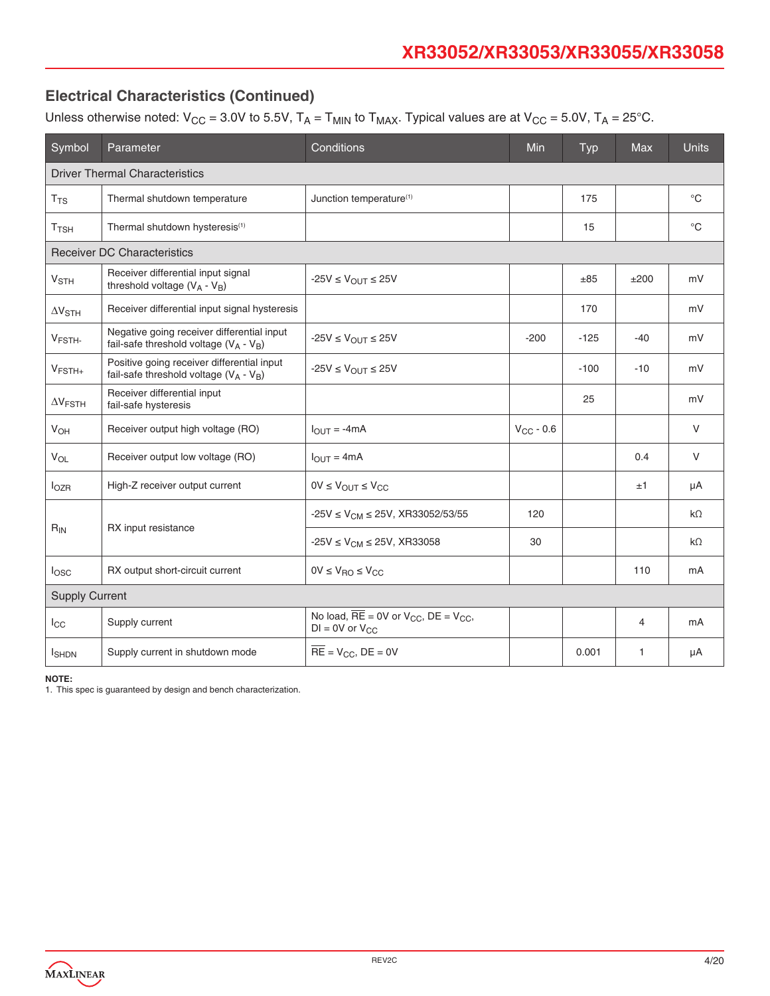Unless otherwise noted:  $V_{CC} = 3.0V$  to 5.5V,  $T_A = T_{MIN}$  to  $T_{MAX}$ . Typical values are at  $V_{CC} = 5.0V$ ,  $T_A = 25°C$ .

| Symbol                   | Parameter                                                                               | Conditions                                                                                         | Min            | <b>Typ</b> | <b>Max</b>     | <b>Units</b> |
|--------------------------|-----------------------------------------------------------------------------------------|----------------------------------------------------------------------------------------------------|----------------|------------|----------------|--------------|
|                          | <b>Driver Thermal Characteristics</b>                                                   |                                                                                                    |                |            |                |              |
| $T_{TS}$                 | Thermal shutdown temperature                                                            | Junction temperature <sup>(1)</sup>                                                                |                | 175        |                | $^{\circ}C$  |
| $T$ <sub>TSH</sub>       | Thermal shutdown hysteresis <sup>(1)</sup>                                              |                                                                                                    |                | 15         |                | $^{\circ}C$  |
|                          | <b>Receiver DC Characteristics</b>                                                      |                                                                                                    |                |            |                |              |
| <b>V<sub>STH</sub></b>   | Receiver differential input signal<br>threshold voltage $(V_A - V_B)$                   | $-25V \leq V_{OUT} \leq 25V$                                                                       |                | ±85        | ±200           | mV           |
| $\Delta V_{STH}$         | Receiver differential input signal hysteresis                                           |                                                                                                    |                | 170        |                | mV           |
| V <sub>FSTH</sub> .      | Negative going receiver differential input<br>fail-safe threshold voltage $(V_A - V_B)$ | $-25V \leq V_{OUT} \leq 25V$                                                                       | $-200$         | $-125$     | $-40$          | mV           |
| $V_{FSTH+}$              | Positive going receiver differential input<br>fail-safe threshold voltage $(V_A - V_B)$ | $-25V \leq V_{OUT} \leq 25V$                                                                       |                | $-100$     | $-10$          | mV           |
| $\Delta V_{\text{FSTH}}$ | Receiver differential input<br>fail-safe hysteresis                                     |                                                                                                    |                | 25         |                | mV           |
| <b>V<sub>OH</sub></b>    | Receiver output high voltage (RO)                                                       | $IOIJT$ = -4mA                                                                                     | $V_{CC}$ - 0.6 |            |                | V            |
| <b>V<sub>OL</sub></b>    | Receiver output low voltage (RO)                                                        | $I_{\text{OUT}} = 4 \text{mA}$                                                                     |                |            | 0.4            | V            |
| $I_{OZR}$                | High-Z receiver output current                                                          | $0V \leq V_{OUT} \leq V_{CC}$                                                                      |                |            | ±1             | μA           |
|                          |                                                                                         | $-25V \le V_{CM} \le 25V$ , XR33052/53/55                                                          | 120            |            |                | $k\Omega$    |
| $R_{IN}$                 | RX input resistance                                                                     | $-25V \le V_{CM} \le 25V$ , XR33058                                                                | 30             |            |                | $k\Omega$    |
| I <sub>OSC</sub>         | RX output short-circuit current                                                         | $0V \leq V_{\text{RO}} \leq V_{\text{CC}}$                                                         |                |            | 110            | mA           |
| <b>Supply Current</b>    |                                                                                         |                                                                                                    |                |            |                |              |
| $I_{\rm CC}$             | Supply current                                                                          | No load, $\overline{RE}$ = 0V or V <sub>CC</sub> , DE = V <sub>CC</sub> ,<br>$DI = OV$ or $V_{CC}$ |                |            | $\overline{4}$ | mA           |
| <b>I</b> SHDN            | Supply current in shutdown mode                                                         | $\overline{RE}$ = $V_{CC}$ , $DE = 0V$                                                             |                | 0.001      | 1              | μA           |

**NOTE:**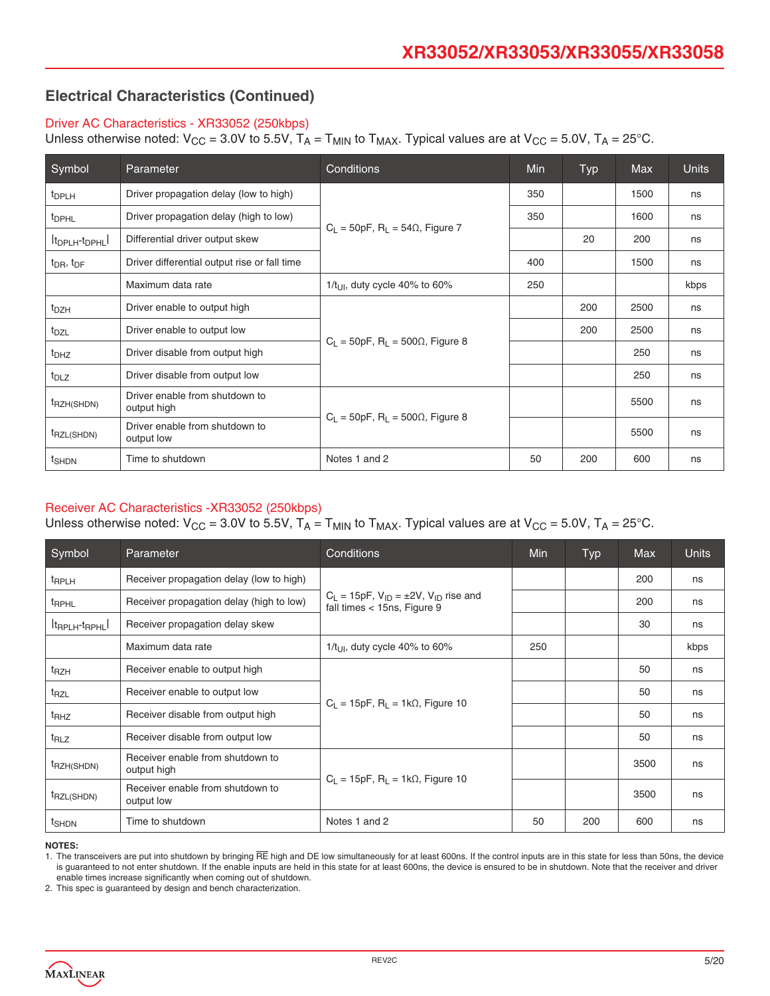#### Driver AC Characteristics - XR33052 (250kbps)

Unless otherwise noted:  $V_{CC} = 3.0V$  to 5.5V,  $T_A = T_{MIN}$  to  $T_{MAX}$ . Typical values are at  $V_{CC} = 5.0V$ ,  $T_A = 25°C$ .

| Symbol                                  | Parameter                                     | Conditions                                              | <b>Min</b> | Typ | <b>Max</b> | <b>Units</b> |
|-----------------------------------------|-----------------------------------------------|---------------------------------------------------------|------------|-----|------------|--------------|
| t <sub>DPLH</sub>                       | Driver propagation delay (low to high)        |                                                         | 350        |     | 1500       | ns           |
| <sup>t</sup> DPHL                       | Driver propagation delay (high to low)        |                                                         | 350        |     | 1600       | ns           |
| It <sub>DPLH</sub> -t <sub>DPHL</sub> I | Differential driver output skew               | $C_1 = 50pF$ , R <sub>1</sub> = 54 $\Omega$ , Figure 7  |            | 20  | 200        | ns           |
| $t_{\text{DR}}$ , $t_{\text{DF}}$       | Driver differential output rise or fall time  |                                                         | 400        |     | 1500       | ns           |
|                                         | Maximum data rate                             | $1/t_{\text{LII}}$ , duty cycle 40% to 60%              | 250        |     |            | kbps         |
| $t_{DZH}$                               | Driver enable to output high                  |                                                         |            | 200 | 2500       | ns           |
| $t_{\text{DZL}}$                        | Driver enable to output low                   | $C_1 = 50pF$ , R <sub>1</sub> = 500 $\Omega$ , Figure 8 |            | 200 | 2500       | ns           |
| t <sub>DHZ</sub>                        | Driver disable from output high               |                                                         |            |     | 250        | ns           |
| $t_{DLZ}$                               | Driver disable from output low                |                                                         |            |     | 250        | ns           |
| t <sub>RZH(SHDN)</sub>                  | Driver enable from shutdown to<br>output high |                                                         |            |     | 5500       | ns           |
| t <sub>RZL(SHDN)</sub>                  | Driver enable from shutdown to<br>output low  | $C_1 = 50pF$ , R <sub>1</sub> = 500 $\Omega$ , Figure 8 |            |     | 5500       | ns           |
| t <sub>SHDN</sub>                       | Time to shutdown                              | Notes 1 and 2                                           | 50         | 200 | 600        | ns           |

#### Receiver AC Characteristics -XR33052 (250kbps)

Unless otherwise noted:  $V_{CC}$  = 3.0V to 5.5V,  $T_A$  =  $T_{MIN}$  to  $T_{MAX}$ . Typical values are at  $V_{CC}$  = 5.0V,  $T_A$  = 25°C.

| Symbol                    | <b>Parameter</b>                                | Conditions                                                                            |     |     | <b>Max</b> | <b>Units</b> |
|---------------------------|-------------------------------------------------|---------------------------------------------------------------------------------------|-----|-----|------------|--------------|
| <sup>t</sup> RPLH         | Receiver propagation delay (low to high)        |                                                                                       |     |     | 200        | ns           |
| <sup>t</sup> RPHL         | Receiver propagation delay (high to low)        | $C_L = 15pF$ , $V_{ID} = \pm 2V$ , $V_{ID}$ rise and<br>fall times $<$ 15ns, Figure 9 |     |     | 200        | ns           |
| $ t_{RPLH}$ - $t_{RPHL} $ | Receiver propagation delay skew                 |                                                                                       |     |     | 30         | ns           |
|                           | Maximum data rate                               | $1/t_{\text{LII}}$ , duty cycle 40% to 60%                                            | 250 |     |            | kbps         |
| t <sub>RZH</sub>          | Receiver enable to output high                  |                                                                                       |     |     | 50         | ns           |
| t <sub>RZL</sub>          | Receiver enable to output low                   |                                                                                       |     |     | 50         | ns           |
| t <sub>RHZ</sub>          | Receiver disable from output high               | $C_1 = 15pF$ , R <sub>1</sub> = 1k $\Omega$ , Figure 10                               |     |     | 50         | ns           |
| t <sub>RLZ</sub>          | Receiver disable from output low                |                                                                                       |     |     | 50         | ns           |
| <sup>t</sup> RZH(SHDN)    | Receiver enable from shutdown to<br>output high |                                                                                       |     |     | 3500       | ns           |
| <sup>t</sup> RZL(SHDN)    | Receiver enable from shutdown to<br>output low  | $C_1 = 15pF$ , R <sub>1</sub> = 1k $\Omega$ , Figure 10                               |     |     | 3500       | ns           |
| t <sub>SHDN</sub>         | Time to shutdown                                | Notes 1 and 2                                                                         | 50  | 200 | 600        | ns           |

**NOTES:**

1. The transceivers are put into shutdown by bringing RE high and DE low simultaneously for at least 600ns. If the control inputs are in this state for less than 50ns, the device is guaranteed to not enter shutdown. If the enable inputs are held in this state for at least 600ns, the device is ensured to be in shutdown. Note that the receiver and driver enable times increase significantly when coming out of shutdown.

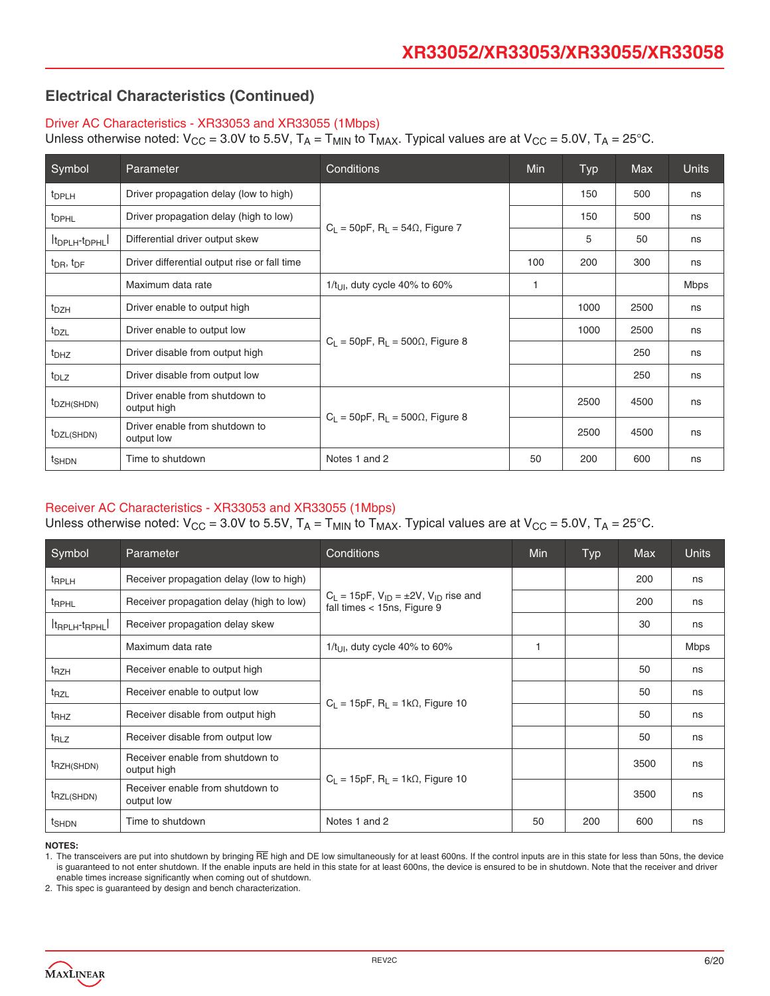#### Driver AC Characteristics - XR33053 and XR33055 (1Mbps)

Unless otherwise noted:  $V_{CC} = 3.0V$  to 5.5V,  $T_A = T_{MIN}$  to  $T_{MAX}$ . Typical values are at  $V_{CC} = 5.0V$ ,  $T_A = 25^{\circ}$ C.

| Symbol                                  | Conditions<br>Parameter                       |                                                         | <b>Min</b> | Typ  | <b>Max</b> | <b>Units</b> |
|-----------------------------------------|-----------------------------------------------|---------------------------------------------------------|------------|------|------------|--------------|
| <sup>t</sup> DPLH                       | Driver propagation delay (low to high)        |                                                         |            | 150  | 500        | ns           |
| <sup>t</sup> DPHL                       | Driver propagation delay (high to low)        |                                                         |            | 150  | 500        | ns           |
| It <sub>DPLH</sub> -t <sub>DPHL</sub> I | Differential driver output skew               | $C_1 = 50pF$ , R <sub>1</sub> = 54 $\Omega$ , Figure 7  |            | 5    | 50         | ns           |
| $t_{\text{DR}}$ , $t_{\text{DF}}$       | Driver differential output rise or fall time  |                                                         | 100        | 200  | 300        | ns           |
|                                         | Maximum data rate                             | $1/t_{\text{LII}}$ , duty cycle 40% to 60%              | 1          |      |            | Mbps         |
| $t_{DZH}$                               | Driver enable to output high                  |                                                         |            | 1000 | 2500       | ns           |
| $t_{\text{DZL}}$                        | Driver enable to output low                   | $C_1 = 50pF$ , R <sub>1</sub> = 500 $\Omega$ , Figure 8 |            | 1000 | 2500       | ns           |
| t <sub>DHZ</sub>                        | Driver disable from output high               |                                                         |            |      | 250        | ns           |
| $t_{DLZ}$                               | Driver disable from output low                |                                                         |            |      | 250        | ns           |
| t <sub>DZH</sub> (SHDN)                 | Driver enable from shutdown to<br>output high |                                                         |            | 2500 | 4500       | ns           |
| t <sub>DZL</sub> (SHDN)                 | Driver enable from shutdown to<br>output low  | $C_1 = 50pF$ , R <sub>1</sub> = 500 $\Omega$ , Figure 8 |            | 2500 | 4500       | ns           |
| t <sub>SHDN</sub>                       | Time to shutdown                              | Notes 1 and 2                                           | 50         | 200  | 600        | ns           |

#### Receiver AC Characteristics - XR33053 and XR33055 (1Mbps)

Unless otherwise noted:  $V_{CC}$  = 3.0V to 5.5V,  $T_A$  =  $T_{MIN}$  to  $T_{MAX}$ . Typical values are at  $V_{CC}$  = 5.0V,  $T_A$  = 25°C.

| Symbol                    | Parameter                                       | Conditions                                                                            | Min | <b>Typ</b> | <b>Max</b> | <b>Units</b> |
|---------------------------|-------------------------------------------------|---------------------------------------------------------------------------------------|-----|------------|------------|--------------|
| <sup>t</sup> RPLH         | Receiver propagation delay (low to high)        |                                                                                       |     |            | 200        | ns           |
| <sup>t</sup> RPHL         | Receiver propagation delay (high to low)        | $C_L = 15pF$ , $V_{ID} = \pm 2V$ , $V_{ID}$ rise and<br>fall times $<$ 15ns, Figure 9 |     |            | 200        | ns           |
| $ t_{RPLH}$ - $t_{RPHL} $ | Receiver propagation delay skew                 |                                                                                       |     |            | 30         | ns           |
|                           | Maximum data rate                               | 1/t <sub>UI</sub> , duty cycle 40% to 60%                                             | 1   |            |            | <b>Mbps</b>  |
| t <sub>RZH</sub>          | Receiver enable to output high                  |                                                                                       |     |            | 50         | ns           |
| t <sub>RZL</sub>          | Receiver enable to output low                   |                                                                                       |     |            | 50         | ns           |
| t <sub>RHZ</sub>          | Receiver disable from output high               | $C_1 = 15pF$ , $R_1 = 1k\Omega$ , Figure 10                                           |     |            | 50         | ns           |
| $t_{RLZ}$                 | Receiver disable from output low                |                                                                                       |     |            | 50         | ns           |
| <sup>t</sup> RZH(SHDN)    | Receiver enable from shutdown to<br>output high |                                                                                       |     |            | 3500       | ns           |
| <sup>t</sup> RZL(SHDN)    | Receiver enable from shutdown to<br>output low  | $C_L = 15pF$ , $R_L = 1k\Omega$ , Figure 10                                           |     |            | 3500       | ns           |
| t <sub>SHDN</sub>         | Time to shutdown                                | Notes 1 and 2                                                                         | 50  | 200        | 600        | ns           |

**NOTES:**

1. The transceivers are put into shutdown by bringing RE high and DE low simultaneously for at least 600ns. If the control inputs are in this state for less than 50ns, the device is guaranteed to not enter shutdown. If the enable inputs are held in this state for at least 600ns, the device is ensured to be in shutdown. Note that the receiver and driver enable times increase significantly when coming out of shutdown.

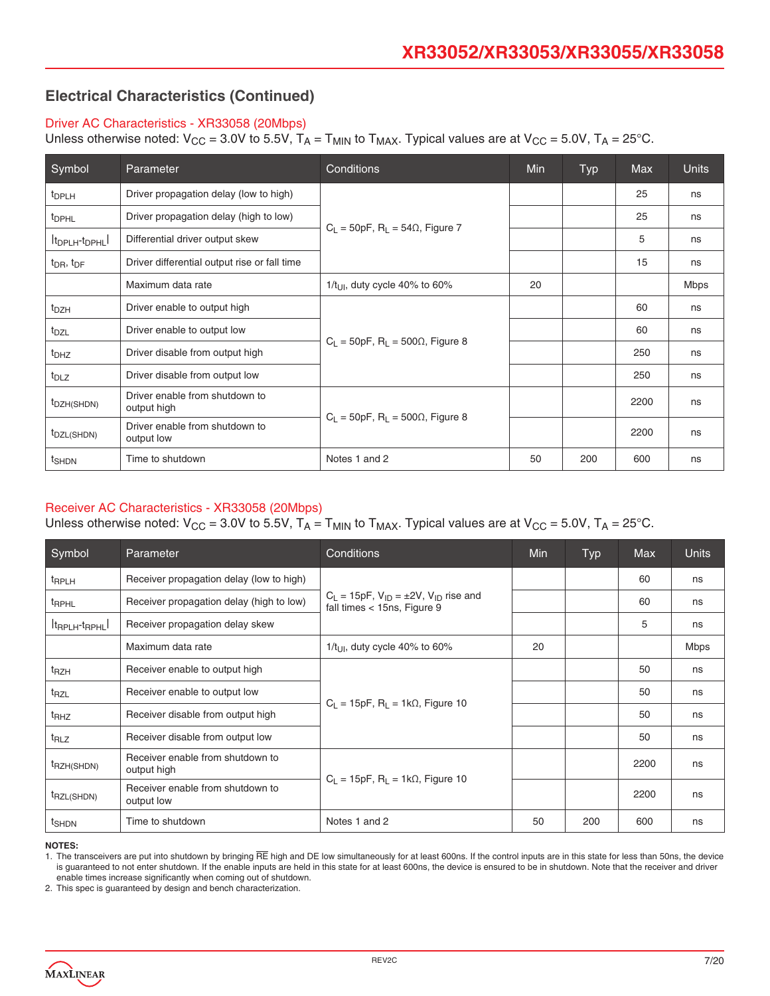#### Driver AC Characteristics - XR33058 (20Mbps)

Unless otherwise noted:  $V_{CC} = 3.0V$  to  $5.5V$ ,  $T_A = T_{MIN}$  to  $T_{MAX}$ . Typical values are at  $V_{CC} = 5.0V$ ,  $T_A = 25°C$ .

| Symbol                                | Parameter                                     | Conditions                                              | <b>Min</b> | <b>Typ</b> | <b>Max</b> | <b>Units</b> |
|---------------------------------------|-----------------------------------------------|---------------------------------------------------------|------------|------------|------------|--------------|
| t <sub>DPLH</sub>                     | Driver propagation delay (low to high)        |                                                         |            |            | 25         | ns           |
| <sup>t</sup> DPHL                     | Driver propagation delay (high to low)        |                                                         |            |            | 25         | ns           |
| It <sub>DPLH</sub> -t <sub>DPHL</sub> | Differential driver output skew               | $C_1 = 50pF$ , R <sub>1</sub> = 54 $\Omega$ , Figure 7  |            |            | 5          | ns           |
| $t_{\text{DR}}$ , $t_{\text{DF}}$     | Driver differential output rise or fall time  |                                                         |            |            | 15         | ns           |
|                                       | Maximum data rate                             | $1/t_{\text{LII}}$ , duty cycle 40% to 60%              | 20         |            |            | <b>Mbps</b>  |
| $t_{DZH}$                             | Driver enable to output high                  |                                                         |            |            | 60         | ns           |
| $t_{\text{DZL}}$                      | Driver enable to output low                   |                                                         |            |            | 60         | ns           |
| t <sub>DHZ</sub>                      | Driver disable from output high               | $C_L$ = 50pF, R <sub>L</sub> = 500 $\Omega$ , Figure 8  |            |            | 250        | ns           |
| $t_{DLZ}$                             | Driver disable from output low                |                                                         |            |            | 250        | ns           |
| t <sub>DZH(SHDN)</sub>                | Driver enable from shutdown to<br>output high | $C_1 = 50pF$ , R <sub>1</sub> = 500 $\Omega$ , Figure 8 |            |            | 2200       | ns           |
| t <sub>DZL(SHDN)</sub>                | Driver enable from shutdown to<br>output low  |                                                         |            |            | 2200       | ns           |
| t <sub>SHDN</sub>                     | Time to shutdown                              | Notes 1 and 2                                           | 50         | 200        | 600        | ns           |

#### Receiver AC Characteristics - XR33058 (20Mbps)

Unless otherwise noted:  $V_{CC}$  = 3.0V to 5.5V,  $T_A$  =  $T_{MIN}$  to  $T_{MAX}$ . Typical values are at  $V_{CC}$  = 5.0V,  $T_A$  = 25°C.

| Symbol                    | Conditions<br>Parameter                         |                                                                                       |    | <b>Typ</b> | <b>Max</b> | <b>Units</b> |
|---------------------------|-------------------------------------------------|---------------------------------------------------------------------------------------|----|------------|------------|--------------|
| <sup>t</sup> RPLH         | Receiver propagation delay (low to high)        |                                                                                       |    |            | 60         | ns           |
| <sup>t</sup> RPHL         | Receiver propagation delay (high to low)        | $C_L = 15pF$ , $V_{ID} = \pm 2V$ , $V_{ID}$ rise and<br>fall times $<$ 15ns, Figure 9 |    |            | 60         | ns           |
| $ t_{RPLH}$ - $t_{RPHL} $ | Receiver propagation delay skew                 |                                                                                       |    |            | 5          | ns           |
|                           | Maximum data rate                               | $1/t_{UII}$ , duty cycle 40% to 60%                                                   | 20 |            |            | <b>Mbps</b>  |
| t <sub>RZH</sub>          | Receiver enable to output high                  |                                                                                       |    |            | 50         | ns           |
| t <sub>RZL</sub>          | Receiver enable to output low                   |                                                                                       |    |            | 50         | ns           |
| $t_{RHZ}$                 | Receiver disable from output high               | $C_1 = 15pF$ , R <sub>1</sub> = 1k $\Omega$ , Figure 10                               |    |            | 50         | ns           |
| $t_{RLZ}$                 | Receiver disable from output low                |                                                                                       |    |            | 50         | ns           |
| <sup>t</sup> RZH(SHDN)    | Receiver enable from shutdown to<br>output high |                                                                                       |    |            | 2200       | ns           |
| <sup>t</sup> RZL(SHDN)    | Receiver enable from shutdown to<br>output low  | $C_1 = 15pF$ , R <sub>1</sub> = 1k $\Omega$ , Figure 10                               |    |            | 2200       | ns           |
| t <sub>SHDN</sub>         | Time to shutdown                                | Notes 1 and 2                                                                         | 50 | 200        | 600        | ns           |

**NOTES:**

1. The transceivers are put into shutdown by bringing RE high and DE low simultaneously for at least 600ns. If the control inputs are in this state for less than 50ns, the device is guaranteed to not enter shutdown. If the enable inputs are held in this state for at least 600ns, the device is ensured to be in shutdown. Note that the receiver and driver enable times increase significantly when coming out of shutdown.

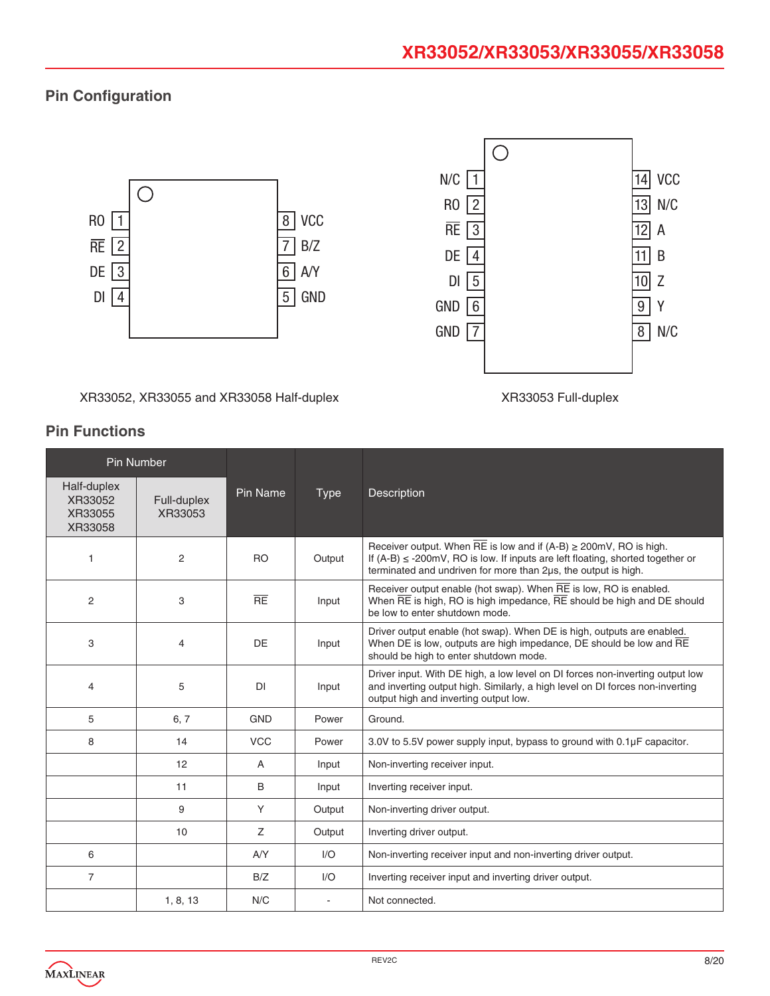## **Pin Configuration**



XR33052, XR33055 and XR33058 Half-duplex XR33053 Full-duplex

|                                              | <b>Pin Number</b>      |            |             |                                                                                                                                                                                                                                  |
|----------------------------------------------|------------------------|------------|-------------|----------------------------------------------------------------------------------------------------------------------------------------------------------------------------------------------------------------------------------|
| Half-duplex<br>XR33052<br>XR33055<br>XR33058 | Full-duplex<br>XR33053 | Pin Name   | <b>Type</b> | Description                                                                                                                                                                                                                      |
| 1                                            | 2                      | <b>RO</b>  | Output      | Receiver output. When RE is low and if $(A-B) \geq 200$ mV, RO is high.<br>If $(A-B) \le -200$ mV, RO is low. If inputs are left floating, shorted together or<br>terminated and undriven for more than 2us, the output is high. |
| 2                                            | 3                      | RE         | Input       | Receiver output enable (hot swap). When RE is low, RO is enabled.<br>When $\overline{RE}$ is high, RO is high impedance, $\overline{RE}$ should be high and DE should<br>be low to enter shutdown mode.                          |
| 3                                            | $\overline{4}$         | DE         | Input       | Driver output enable (hot swap). When DE is high, outputs are enabled.<br>When DE is low, outputs are high impedance, DE should be low and RE<br>should be high to enter shutdown mode.                                          |
| 4                                            | 5                      | DI         | Input       | Driver input. With DE high, a low level on DI forces non-inverting output low<br>and inverting output high. Similarly, a high level on DI forces non-inverting<br>output high and inverting output low.                          |
| 5                                            | 6, 7                   | <b>GND</b> | Power       | Ground.                                                                                                                                                                                                                          |
| 8                                            | 14                     | <b>VCC</b> | Power       | 3.0V to 5.5V power supply input, bypass to ground with $0.1\mu$ F capacitor.                                                                                                                                                     |
|                                              | 12                     | A          | Input       | Non-inverting receiver input.                                                                                                                                                                                                    |
|                                              | 11                     | B          | Input       | Inverting receiver input.                                                                                                                                                                                                        |
|                                              | 9                      | Y          | Output      | Non-inverting driver output.                                                                                                                                                                                                     |
|                                              | 10                     | Z          | Output      | Inverting driver output.                                                                                                                                                                                                         |
| 6                                            |                        | AYY        | 1/O         | Non-inverting receiver input and non-inverting driver output.                                                                                                                                                                    |
| $\overline{7}$                               |                        | B/Z        | 1/O         | Inverting receiver input and inverting driver output.                                                                                                                                                                            |
|                                              | 1, 8, 13               | N/C        |             | Not connected.                                                                                                                                                                                                                   |

## **Pin Functions**

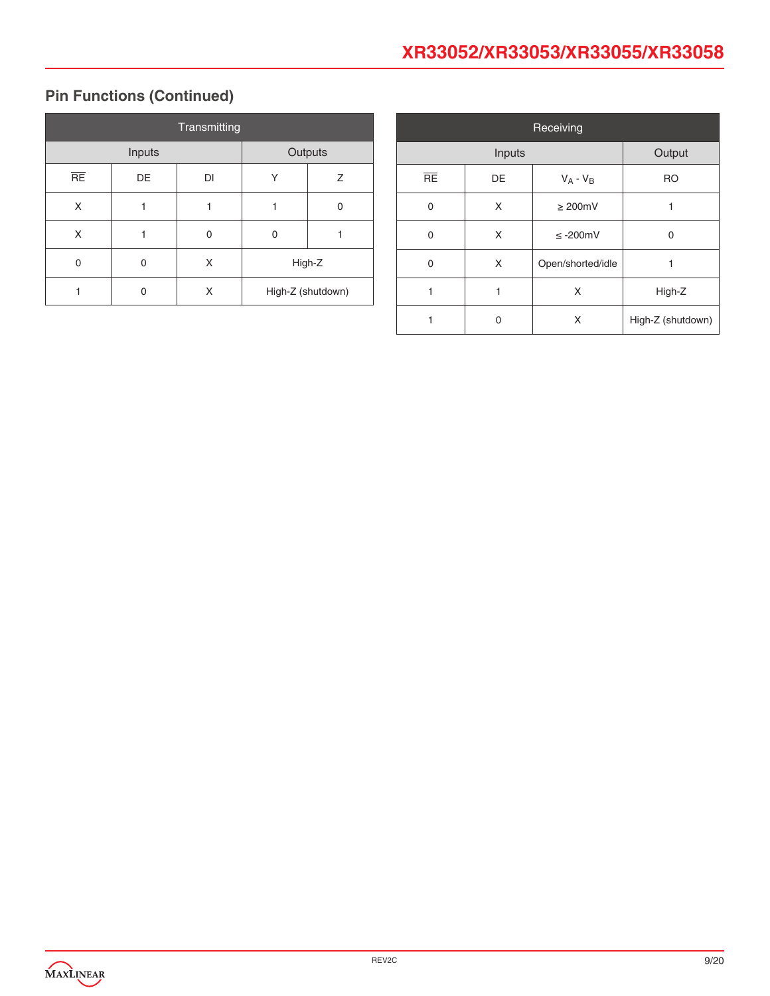## **XR33052/XR33053/XR33055/XR33058**

## **Pin Functions (Continued)**

| Transmitting |    |    |         |                   |  |
|--------------|----|----|---------|-------------------|--|
| Inputs       |    |    | Outputs |                   |  |
| RE           | DE | DI | Υ       | Ζ                 |  |
| X            |    |    |         | 0                 |  |
| X            |    | U  | 0       |                   |  |
| 0            | 0  | X  | High-Z  |                   |  |
|              | n  | x  |         | High-Z (shutdown) |  |

| Receiving |        |                   |                   |  |  |
|-----------|--------|-------------------|-------------------|--|--|
|           | Output |                   |                   |  |  |
| <b>RE</b> | DE     | $V_A - V_B$       | <b>RO</b>         |  |  |
| 0         | X      | $\geq 200$ mV     |                   |  |  |
| 0         | X      | $\leq$ -200mV     | $\Omega$          |  |  |
| 0         | X      | Open/shorted/idle | 1                 |  |  |
| 1         | 1      | X                 | High-Z            |  |  |
|           | ი      | X                 | High-Z (shutdown) |  |  |

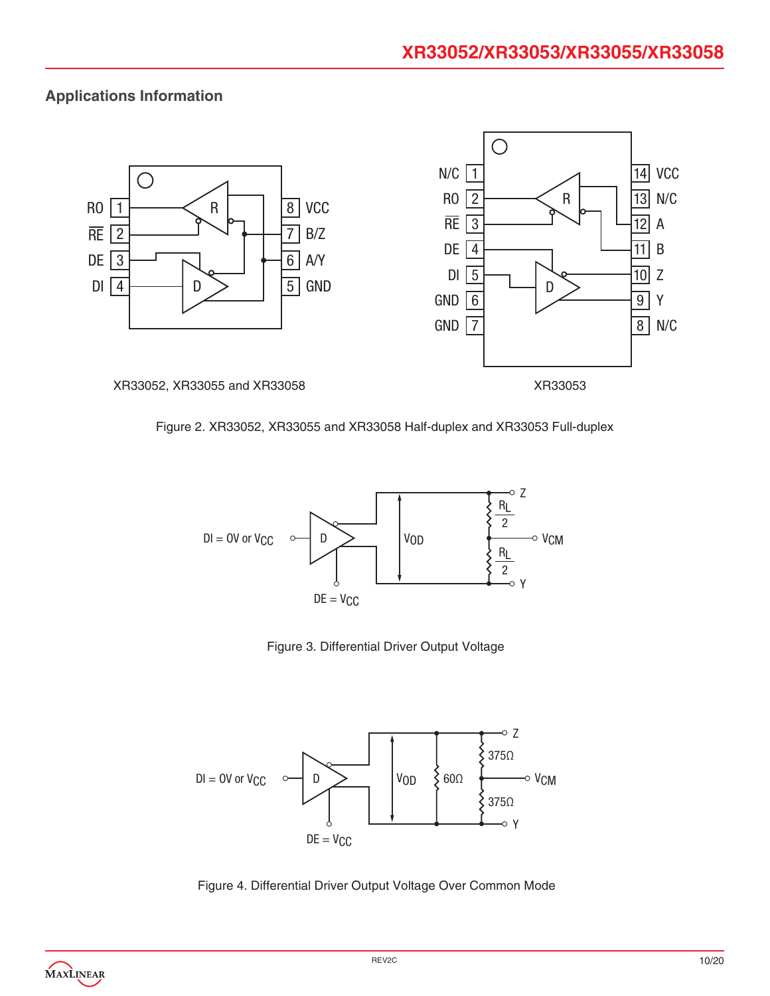## **Applications Information**







Figure 3. Differential Driver Output Voltage



Figure 4. Differential Driver Output Voltage Over Common Mode

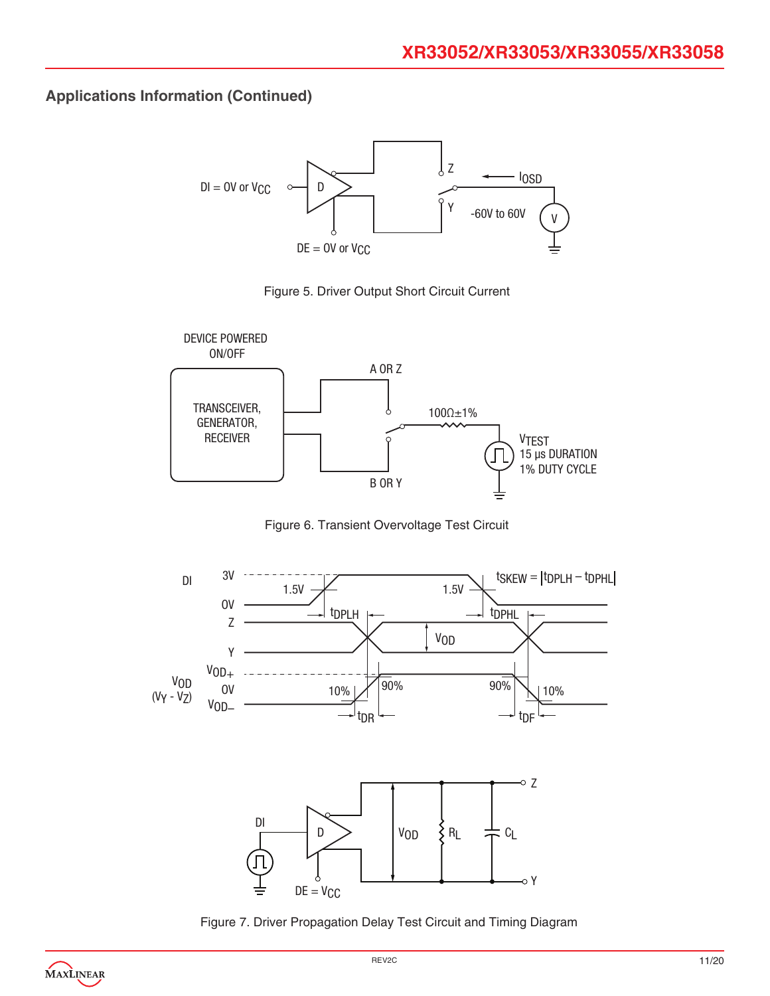





Figure 6. Transient Overvoltage Test Circuit



Figure 7. Driver Propagation Delay Test Circuit and Timing Diagram

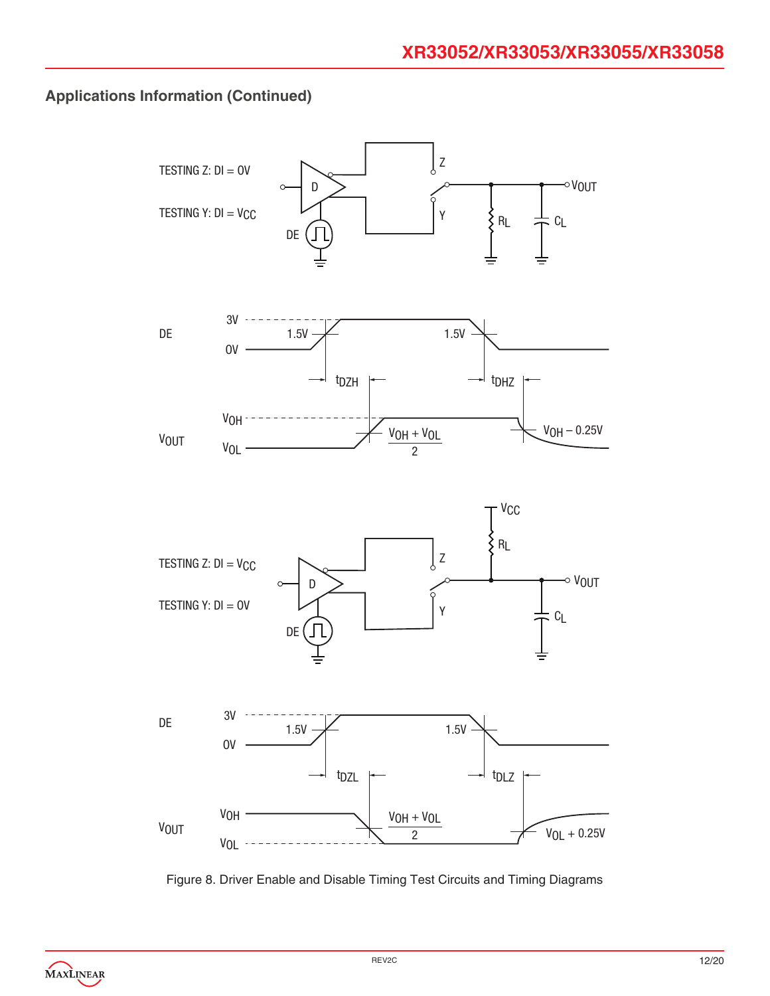

Figure 8. Driver Enable and Disable Timing Test Circuits and Timing Diagrams

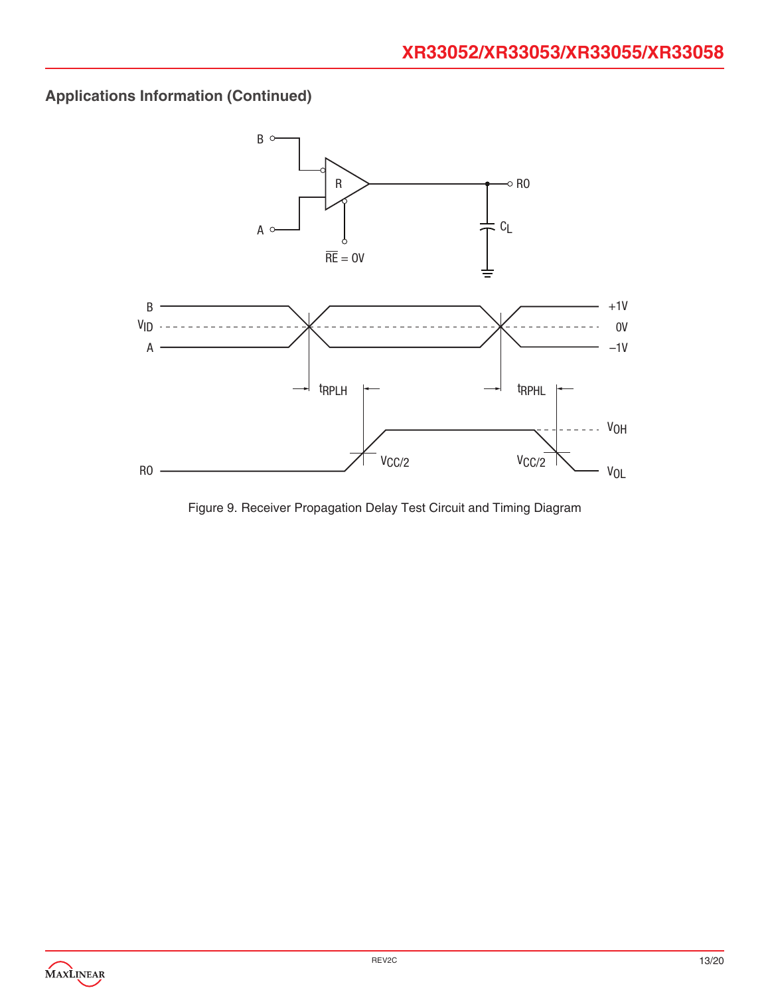

Figure 9. Receiver Propagation Delay Test Circuit and Timing Diagram

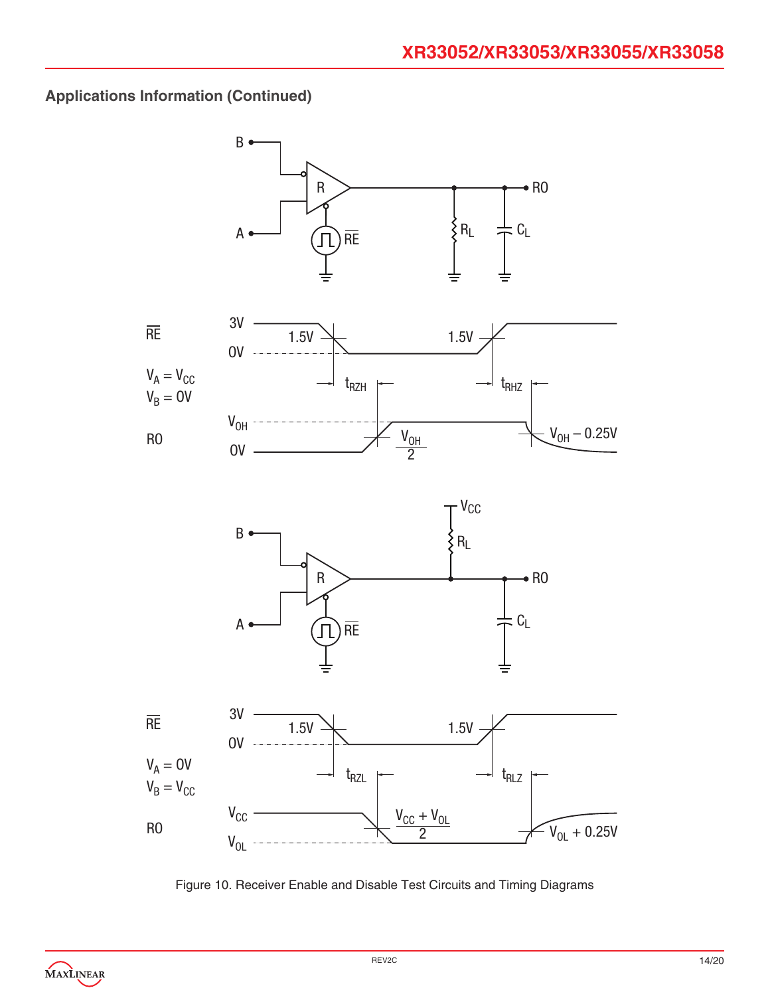

Figure 10. Receiver Enable and Disable Test Circuits and Timing Diagrams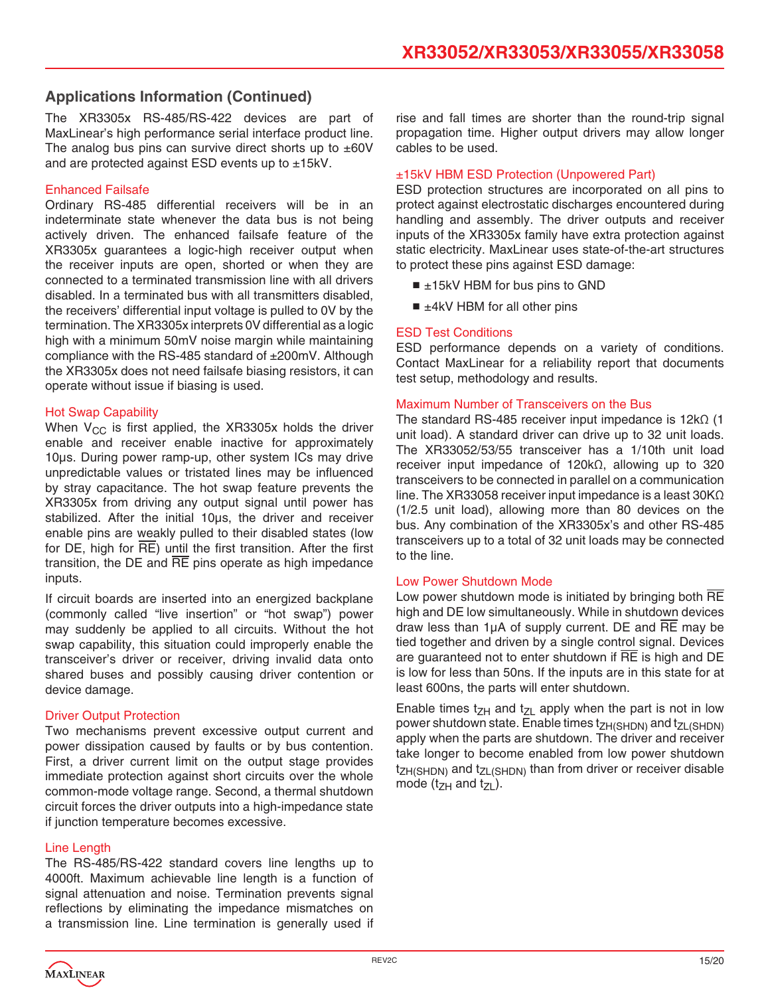The XR3305x RS-485/RS-422 devices are part of MaxLinear's high performance serial interface product line. The analog bus pins can survive direct shorts up to  $\pm 60V$ and are protected against ESD events up to ±15kV.

#### Enhanced Failsafe

Ordinary RS-485 differential receivers will be in an indeterminate state whenever the data bus is not being actively driven. The enhanced failsafe feature of the XR3305x guarantees a logic-high receiver output when the receiver inputs are open, shorted or when they are connected to a terminated transmission line with all drivers disabled. In a terminated bus with all transmitters disabled, the receivers' differential input voltage is pulled to 0V by the termination. The XR3305x interprets 0V differential as a logic high with a minimum 50mV noise margin while maintaining compliance with the RS-485 standard of ±200mV. Although the XR3305x does not need failsafe biasing resistors, it can operate without issue if biasing is used.

#### Hot Swap Capability

When  $V_{CC}$  is first applied, the XR3305x holds the driver enable and receiver enable inactive for approximately 10μs. During power ramp-up, other system ICs may drive unpredictable values or tristated lines may be influenced by stray capacitance. The hot swap feature prevents the XR3305x from driving any output signal until power has stabilized. After the initial 10μs, the driver and receiver enable pins are weakly pulled to their disabled states (low for DE, high for  $\overline{RE}$ ) until the first transition. After the first transition, the DE and  $\overline{RE}$  pins operate as high impedance inputs.

If circuit boards are inserted into an energized backplane (commonly called "live insertion" or "hot swap") power may suddenly be applied to all circuits. Without the hot swap capability, this situation could improperly enable the transceiver's driver or receiver, driving invalid data onto shared buses and possibly causing driver contention or device damage.

#### **Driver Output Protection**

Two mechanisms prevent excessive output current and power dissipation caused by faults or by bus contention. First, a driver current limit on the output stage provides immediate protection against short circuits over the whole common-mode voltage range. Second, a thermal shutdown circuit forces the driver outputs into a high-impedance state if junction temperature becomes excessive.

#### Line Length

The RS-485/RS-422 standard covers line lengths up to 4000ft. Maximum achievable line length is a function of signal attenuation and noise. Termination prevents signal reflections by eliminating the impedance mismatches on a transmission line. Line termination is generally used if

rise and fall times are shorter than the round-trip signal propagation time. Higher output drivers may allow longer cables to be used.

#### ±15kV HBM ESD Protection (Unpowered Part)

ESD protection structures are incorporated on all pins to protect against electrostatic discharges encountered during handling and assembly. The driver outputs and receiver inputs of the XR3305x family have extra protection against static electricity. MaxLinear uses state-of-the-art structures to protect these pins against ESD damage:

- ±15kV HBM for bus pins to GND
- ±4kV HBM for all other pins

#### ESD Test Conditions

ESD performance depends on a variety of conditions. Contact MaxLinear for a reliability report that documents test setup, methodology and results.

#### Maximum Number of Transceivers on the Bus

The standard RS-485 receiver input impedance is 12kΩ (1 unit load). A standard driver can drive up to 32 unit loads. The XR33052/53/55 transceiver has a 1/10th unit load receiver input impedance of 120kΩ, allowing up to 320 transceivers to be connected in parallel on a communication line. The XR33058 receiver input impedance is a least 30KΩ (1/2.5 unit load), allowing more than 80 devices on the bus. Any combination of the XR3305x's and other RS-485 transceivers up to a total of 32 unit loads may be connected to the line.

#### Low Power Shutdown Mode

Low power shutdown mode is initiated by bringing both RE high and DE low simultaneously. While in shutdown devices draw less than 1μA of supply current. DE and RE may be tied together and driven by a single control signal. Devices are guaranteed not to enter shutdown if  $\overline{RE}$  is high and  $\overline{DE}$ is low for less than 50ns. If the inputs are in this state for at least 600ns, the parts will enter shutdown.

Enable times  $t_{ZH}$  and  $t_{ZL}$  apply when the part is not in low power shutdown state. Enable times t<sub>ZH(SHDN)</sub> and t<sub>ZL(SHDN)</sub> apply when the parts are shutdown. The driver and receiver take longer to become enabled from low power shutdown  $t_{ZH(SHDN)}$  and  $t_{ZL(SHDN)}$  than from driver or receiver disable mode ( $t_{ZH}$  and  $t_{ZL}$ ).

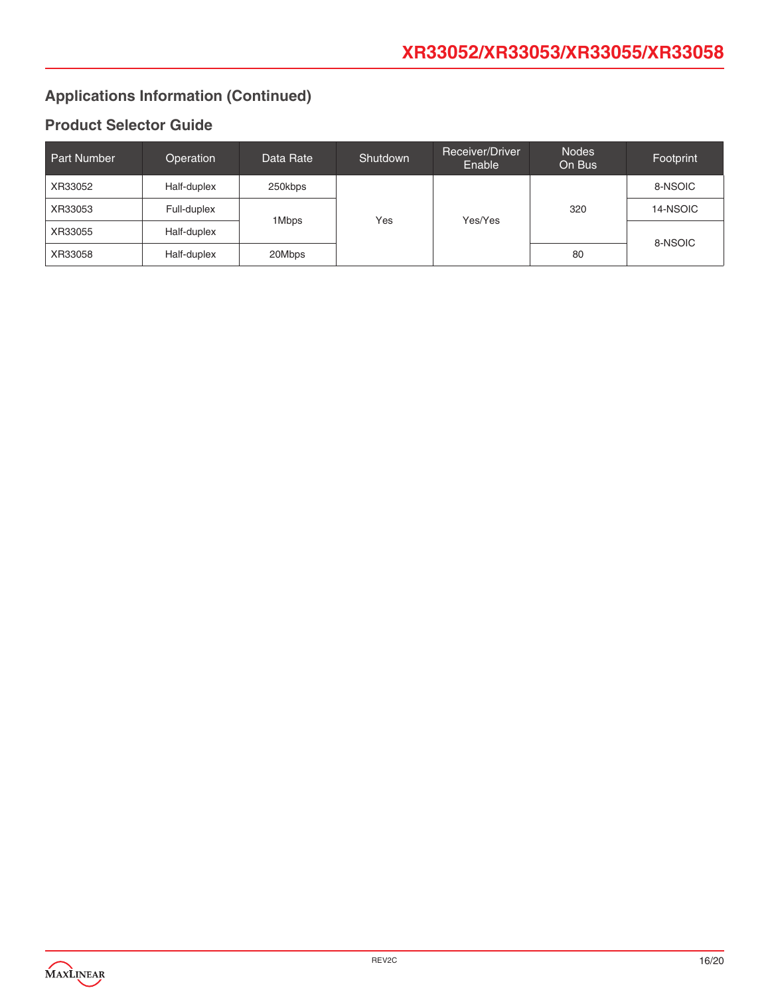## **Product Selector Guide**

| Part Number | Operation   | Data Rate        | Shutdown | Receiver/Driver<br>Enable | <b>Nodes</b><br>On Bus | Footprint |
|-------------|-------------|------------------|----------|---------------------------|------------------------|-----------|
| XR33052     | Half-duplex | 250kbps<br>1Mbps | Yes      | Yes/Yes                   | 320                    | 8-NSOIC   |
| XR33053     | Full-duplex |                  |          |                           |                        | 14-NSOIC  |
| XR33055     | Half-duplex |                  |          |                           |                        | 8-NSOIC   |
| XR33058     | Half-duplex | 20Mbps           |          |                           | 80                     |           |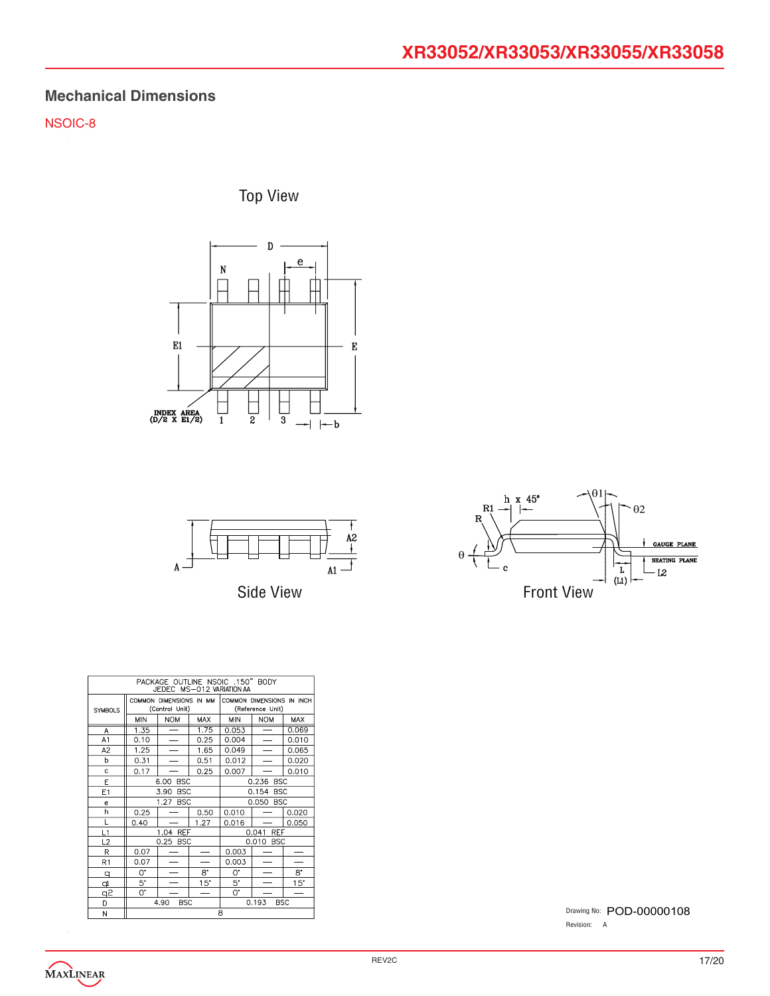## **Mechanical Dimensions**

NSOIC-8

Top View







| PACKAGE OUTLINE NSOIC .150" BODY<br>JEDEC MS-012 VARIATION AA |                                           |                          |                     |                                               |                          |            |
|---------------------------------------------------------------|-------------------------------------------|--------------------------|---------------------|-----------------------------------------------|--------------------------|------------|
| <b>SYMBOLS</b>                                                | COMMON DIMENSIONS IN MM<br>(Control Unit) |                          |                     | COMMON DIMENSIONS IN INCH<br>(Reference Unit) |                          |            |
|                                                               | <b>MIN</b>                                | <b>NOM</b>               | <b>MAX</b>          | <b>MIN</b>                                    | <b>NOM</b>               | <b>MAX</b> |
| A                                                             | 1.35                                      |                          | 1.75                | 0.053                                         |                          | 0.069      |
| A1                                                            | 0.10                                      | $\overline{\phantom{0}}$ | 0.25                | 0.004                                         | $\overline{\phantom{0}}$ | 0.010      |
| A <sub>2</sub>                                                | 1.25                                      | $\overline{\phantom{0}}$ | 1.65                | 0.049                                         |                          | 0.065      |
| h                                                             | 0.31                                      | ÷.                       | 0.51                | 0.012                                         | $\overline{\phantom{0}}$ | 0.020      |
| Ċ                                                             | 0.17                                      |                          | 0.25                | 0.007                                         |                          | 0.010      |
| E                                                             | 6.00<br><b>BSC</b>                        |                          |                     | 0.236 BSC                                     |                          |            |
| E1                                                            | 3.90<br><b>BSC</b>                        |                          |                     | 0.154<br><b>BSC</b>                           |                          |            |
| e                                                             | 1.27<br><b>BSC</b>                        |                          | 0.050<br><b>BSC</b> |                                               |                          |            |
| h                                                             | 0.25                                      |                          | 0.50                | 0.010                                         |                          | 0.020      |
| L                                                             | 0.40                                      |                          | 1.27                | 0.016                                         |                          | 0.050      |
| L1                                                            | 1.04 REF                                  |                          |                     | 0.041<br>REF                                  |                          |            |
| L <sub>2</sub>                                                |                                           | 0.25 BSC                 |                     | 0.010 BSC                                     |                          |            |
| R                                                             | 0.07                                      |                          |                     | 0.003                                         |                          |            |
| R1                                                            | 0.07                                      |                          |                     | 0.003                                         |                          |            |
| $\mathsf{q}$                                                  | 0.                                        |                          | 8.                  | 0.                                            |                          | 8.         |
| þ                                                             | 5.                                        |                          | 15"                 | 5.                                            |                          | 15"        |
| q2                                                            | 0.                                        |                          |                     | 0.                                            |                          |            |
| D                                                             | <b>BSC</b><br>4.90                        |                          | 0.193<br><b>BSC</b> |                                               |                          |            |
| N                                                             | 8                                         |                          |                     |                                               |                          |            |

Drawing No: POD-00000108 Revision: A

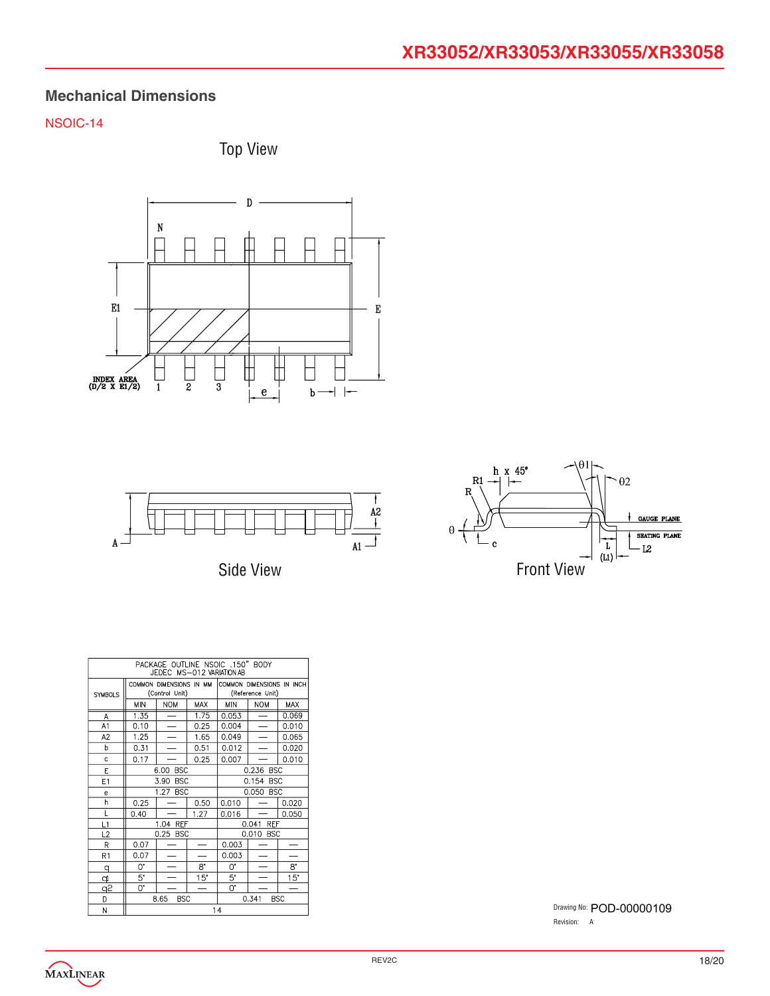## **Mechanical Dimensions**

## NSOIC-14







Side View



| PACKAGE OUTLINE NSOIC .150" BODY<br>JEDEC MS-012 VARIATION AB |                                           |                          |                     |                                               |                          |            |
|---------------------------------------------------------------|-------------------------------------------|--------------------------|---------------------|-----------------------------------------------|--------------------------|------------|
| <b>SYMBOLS</b>                                                | COMMON DIMENSIONS IN MM<br>(Control Unit) |                          |                     | COMMON DIMENSIONS IN INCH<br>(Reference Unit) |                          |            |
|                                                               | MIN                                       | <b>NOM</b>               | <b>MAX</b>          | <b>MIN</b>                                    | <b>NOM</b>               | <b>MAX</b> |
| A                                                             | 1.35                                      | $\overline{\phantom{0}}$ | 1.75                | 0.053                                         |                          | 0.069      |
| A1                                                            | 0.10                                      | $\overline{\phantom{0}}$ | 0.25                | 0.004                                         |                          | 0.010      |
| A <sub>2</sub>                                                | 1.25                                      | $\overline{\phantom{0}}$ | 1.65                | 0.049                                         | $\overline{\phantom{a}}$ | 0.065      |
| b                                                             | 0.31                                      |                          | 0.51                | 0.012                                         |                          | 0.020      |
| Ċ                                                             | 0.17                                      |                          | 0.25                | 0.007                                         |                          | 0.010      |
| E                                                             | <b>BSC</b><br>6.00                        |                          |                     | 0.236 BSC                                     |                          |            |
| E1                                                            | 3.90<br><b>BSC</b>                        |                          | 0.154 BSC           |                                               |                          |            |
| e                                                             | 1.27<br><b>BSC</b>                        |                          | 0.050 BSC           |                                               |                          |            |
| h                                                             | 0.25                                      |                          | 0.50                | 0.010                                         |                          | 0.020      |
| Г                                                             | 0.40                                      |                          | 1.27                | 0.016                                         |                          | 0.050      |
| L1                                                            | 1.04 REF                                  |                          | 0.041<br><b>REF</b> |                                               |                          |            |
| L <sub>2</sub>                                                |                                           | 0.25 BSC                 |                     | 0.010 BSC                                     |                          |            |
| R                                                             | 0.07                                      |                          |                     | 0.003                                         |                          |            |
| R1                                                            | 0.07                                      |                          |                     | 0.003                                         |                          |            |
| q                                                             | O.                                        | $\overline{\phantom{0}}$ | 8.                  | 0.                                            |                          | 8.         |
| <u>q</u>                                                      | $5^{\circ}$                               |                          | $15^{\circ}$        | 5.                                            |                          | 15"        |
| q2                                                            | 0.                                        |                          |                     | 0.                                            |                          |            |
| D                                                             | 8.65<br><b>BSC</b>                        |                          | 0.341<br><b>BSC</b> |                                               |                          |            |
| N                                                             |                                           |                          |                     | 14                                            |                          |            |

Drawing No: POD-00000109 Revision: A

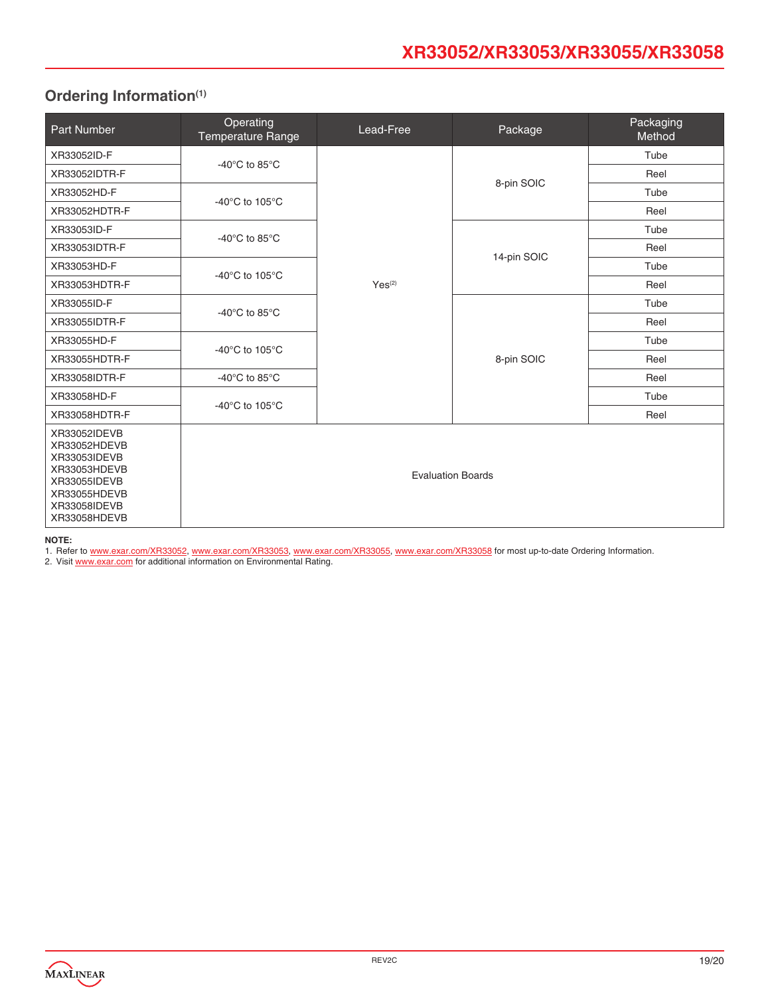## <span id="page-18-0"></span>**Ordering Information(1)**

| Part Number                                                                                                                  | Operating<br>Temperature Range       | Lead-Free   | Package                  | Packaging<br>Method |
|------------------------------------------------------------------------------------------------------------------------------|--------------------------------------|-------------|--------------------------|---------------------|
| XR33052ID-F                                                                                                                  |                                      |             |                          | Tube                |
| XR33052IDTR-F                                                                                                                | -40 $^{\circ}$ C to 85 $^{\circ}$ C  |             |                          | Reel                |
| XR33052HD-F                                                                                                                  | -40 $^{\circ}$ C to 105 $^{\circ}$ C |             | 8-pin SOIC               | Tube                |
| XR33052HDTR-F                                                                                                                |                                      |             |                          | Reel                |
| XR33053ID-F                                                                                                                  | -40 $^{\circ}$ C to 85 $^{\circ}$ C  |             | 14-pin SOIC              | Tube                |
| XR33053IDTR-F                                                                                                                |                                      |             |                          | Reel                |
| XR33053HD-F                                                                                                                  | -40 $^{\circ}$ C to 105 $^{\circ}$ C |             |                          | Tube                |
| XR33053HDTR-F                                                                                                                |                                      | $Yes^{(2)}$ |                          | Reel                |
| XR33055ID-F                                                                                                                  | -40 $^{\circ}$ C to 85 $^{\circ}$ C  |             | 8-pin SOIC               | Tube                |
| XR33055IDTR-F                                                                                                                |                                      |             |                          | Reel                |
| XR33055HD-F                                                                                                                  | -40 $^{\circ}$ C to 105 $^{\circ}$ C |             |                          | Tube                |
| XR33055HDTR-F                                                                                                                |                                      |             |                          | Reel                |
| XR33058IDTR-F                                                                                                                | -40 $^{\circ}$ C to 85 $^{\circ}$ C  |             |                          | Reel                |
| XR33058HD-F                                                                                                                  | -40 $^{\circ}$ C to 105 $^{\circ}$ C |             |                          | Tube                |
| XR33058HDTR-F                                                                                                                |                                      |             |                          | Reel                |
| XR33052IDEVB<br>XR33052HDEVB<br>XR33053IDEVB<br>XR33053HDEVB<br>XR33055IDEVB<br>XR33055HDEVB<br>XR33058IDEVB<br>XR33058HDEVB |                                      |             | <b>Evaluation Boards</b> |                     |

**NOTE:** 

1. Refer to [www.exar.com/XR33052,](http://www.exar.com/XR33052) [www.exar.com/XR33053](http://www.exar.com/XR33053), [www.exar.com/XR33055](http://www.exar.com/XR33055), [www.exar.com/XR33058](http://www.exar.com/XR33058) for most up-to-date Ordering Information.

2. Visit [www.exar.com](http://www.exar.com) for additional information on Environmental Rating.